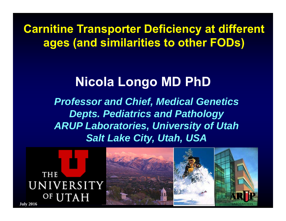**Carnitine Transporter Deficiency at different ages (and similarities to other FODs)**

### **Nicola Longo MD PhD**

*Professor and Chief, Medical Genetics Depts. Pediatrics and Pathology ARUP Laboratories, University of Utah Salt Lake City, Utah, USA*



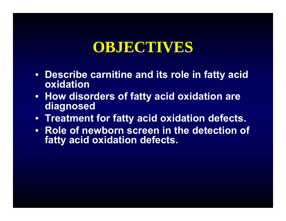### **OBJECTIVES**

- **Describe carnitine and its role in fatty acid oxidation**
- **How disorders of fatty acid oxidation are diagnosed**
- **Treatment for fatty acid oxidation defects.**
- **Role of newborn screen in the detection of fatty acid oxidation defects.**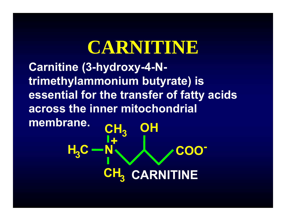# **CARNITINE**

**Carnitine (3-hydroxy-4-Ntrimethylammonium butyrate) is essential for the transfer of fatty acids across the inner mitochondrial membrane. CHOH**

**H.C CH 3NN 、 人 /COO -+33CARNITINE**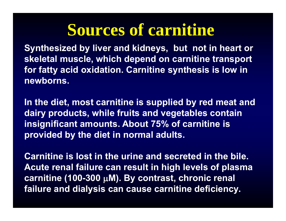# **Sources of carnitine**

**Synthesized by liver and kidneys, but not in heart or skeletal muscle, which depend on carnitine transport for fatty acid oxidation. Carnitine synthesis is low in newborns.** 

**In the diet, most carnitine is supplied by red meat and dairy products, while fruits and vegetables contain insignificant amounts. About 75% of carnitine is provided by the diet in normal adults.**

**Carnitine is lost in the urine and secreted in the bile. Acute renal failure can result in high levels of plasma carnitine (100-300 M). By contrast, chronic renal failure and dialysis can cause carnitine deficiency.**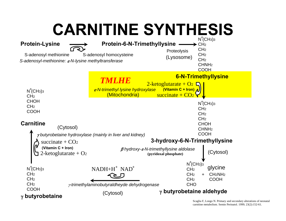# **CARNITINE SYNTHESIS**



Scaglia F, Longo N. Primary and secondary alterations of neonatal carnitine metabolism. Semin Perinatol. 1999; 23(2):152-61.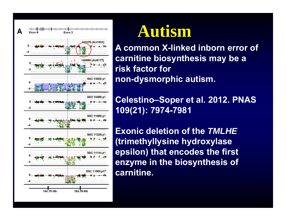

## **Autism**

**A common X-linked inborn error of carnitine biosynthesis may be a risk factor fornon-dysmorphic autism.**

**Celestino–Soper et al. 2012. PNAS 109(21): 7974-7981**

**Exonic deletion of the** *TMLHE*  **(trimethyllysine hydroxylase epsilon) that encodes the first enzyme in the biosynthesis of carnitine.**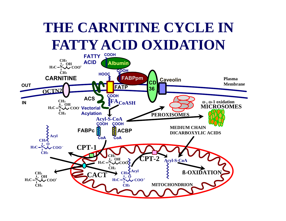## **THE CARNITINE CYCLE IN FATTY ACID OXIDATION**

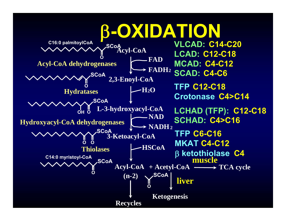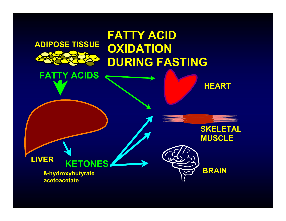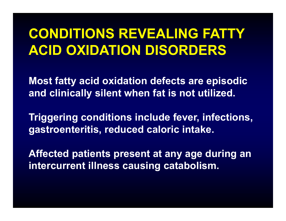### **CONDITIONS REVEALING FATTY ACID OXIDATION DISORDERS**

**Most fatty acid oxidation defects are episodic and clinically silent when fat is not utilized.**

**Triggering conditions include fever, infections, gastroenteritis, reduced caloric intake.**

**Affected patients present at any age during an intercurrent illness causing catabolism.**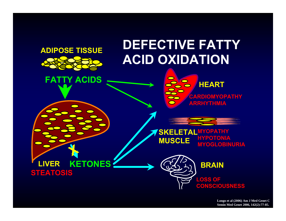### **DEFECTIVE FATTY ACID OXIDATION**



**ADIPOSE TISSUE**

**FATTY ACIDS**





#### **SKELETAL MYOPATHY HYPOTONIAMUSCLE MYOGLOBINURIA**

**LIVER KETONES STEATOSIS**

**LOSS OF CONSCIOUSNESS**

**BRAIN**

**Longo et al (2006) Am J Med Genet C Semin Med Genet 2006, 142(2):77-85.**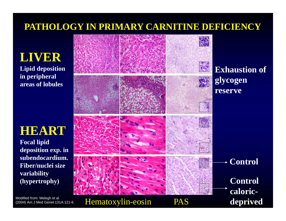#### **PATHOLOGY IN PRIMARY CARNITINE DEFICIENCY**

**LIVERLipid deposition** 

**in peripheral areas of lobules**

### **HEART**

**Focal lipid deposition exp. in subendocardium. Fiber/nuclei size variability (hypertrophy)**

Modified from: Melegh et al. (2004) Am J Med Genet 131A:121-6.

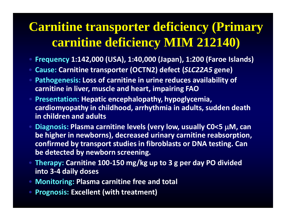### **Carnitine transporter deficiency (Primary carnitine deficiency MIM 212140)**

- $\bullet$ **Frequency 1:142,000 (USA), 1:40,000 (Japan), 1:200 (Faroe Islands)**
- **Cause: Carnitine transporter (OCTN2) defect (***SLC22A5* **gene)**
- $\bullet$  **Pathogenesis: Loss of carnitine in urine reduces availability of carnitine in liver, muscle and heart, impairing FAO**
- $\bullet$  **Presentation: Hepatic encephalopathy, hypoglycemia, cardiomyopathy in childhood, arrhythmia in adults, sudden death in children and adults**
- $\bullet$  **Diagnosis: Plasma carnitine levels (very low, usually C0<5 M, can be higher in newborns), decreased urinary carnitine reabsorption, confirmed by transport studies in fibroblasts or DNA testing. Can be detected by newborn screening.**
- **Therapy: Carnitine 100 ‐150 mg/kg up to 3 g per day PO divided into 3 ‐ 4 daily doses**
- **Monitoring: Plasma carnitine free and total**
- **Prognosis: Excellent (with treatment)**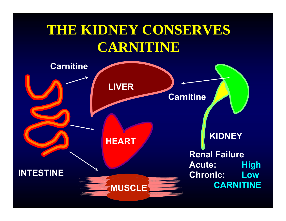### **THE KIDNEY CONSERVES CARNITINE**

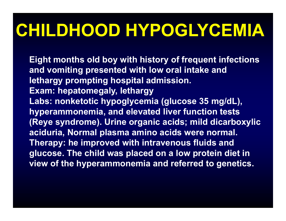# **CHILDHOOD HYPOGLYCEMIA**

**Eight months old boy with history of frequent infections and vomiting presented with low oral intake and lethargy prompting hospital admission. Exam: hepatomegaly, lethargy Labs: nonketotic hypoglycemia (glucose 35 mg/dL), hyperammonemia, and elevated liver function tests (Reye syndrome). Urine organic acids; mild dicarboxylic aciduria, Normal plasma amino acids were normal. Therapy: he improved with intravenous fluids and glucose. The child was placed on a low protein diet in view of the hyperammonemia and referred to genetics.**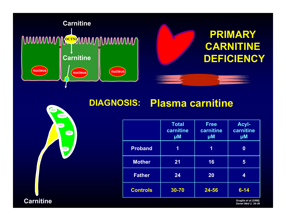

#### **Plasma carnitine DIAGNOSIS:**

|                 | <b>Total</b><br>carnitine<br>$\mu$ M | <b>Free</b><br>carnitine<br>$\mu$ M | <b>Acyl-</b><br>carnitine<br>$\mu$ M |
|-----------------|--------------------------------------|-------------------------------------|--------------------------------------|
| <b>Proband</b>  | 1                                    | 1                                   | 0                                    |
| <b>Mother</b>   | 21                                   | 16                                  | 5                                    |
| <b>Father</b>   | 24                                   | 20                                  | 4                                    |
| <b>Controls</b> | 30-70                                | 24-56                               | $6 - 14$                             |

**Carnitine**

*Scaglia et al (1998) Genet Med 1: 34-39*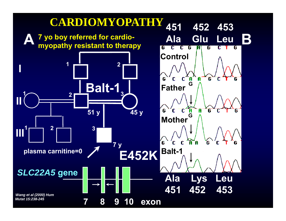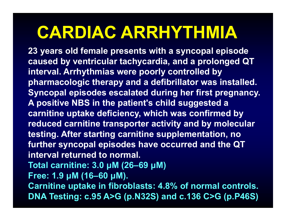# **CARDIAC ARRHYTHMIA**

**23 years old female presents with a syncopal episode caused by ventricular tachycardia, and a prolonged QT interval. Arrhythmias were poorly controlled by pharmacologic therapy and a defibrillator was installed. Syncopal episodes escalated during her first pregnancy. A positive NBS in the patient's child suggested a carnitine uptake deficiency, which was confirmed by reduced carnitine transporter activity and by molecular testing. After starting carnitine supplementation, no further syncopal episodes have occurred and the QT interval returned to normal. Total carnitine: 3.0 μM (26–69 μM) Free: 1.9 μM (16–60 μM).** 

**Carnitine uptake in fibroblasts: 4.8% of normal controls. DNA Testing: c.95 A>G (p.N32S) and c.136 C>G (p.P46S)**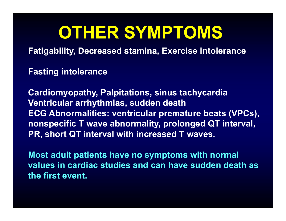# **OTHER SYMPTOMS**

**Fatigability, Decreased stamina, Exercise intolerance**

**Fasting intolerance** 

**Cardiomyopathy, Palpitations, sinus tachycardia Ventricular arrhythmias, sudden death ECG Abnormalities: ventricular premature beats (VPCs), nonspecific T wave abnormality, prolonged QT interval, PR, short QT interval with increased T waves.**

**Most adult patients have no symptoms with normal values in cardiac studies and can have sudden death as the first event.**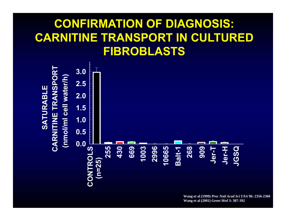### **CONFIRMATION OF DIAGNOSIS: CARNITINE TRANSPORT IN CULTURED FIBROBLASTS**



**Wang et al (1999)** *Proc Natl Acad Sci USA* **96: 2356-2360 Wang et al (2001)** *Genet Med* **3: 387-392**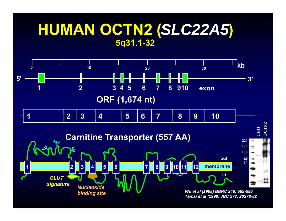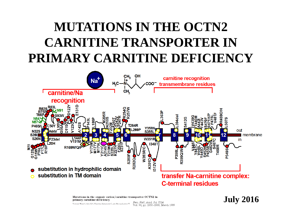### **MUTATIONS IN THE OCTN2 CARNITINE TRANSPORTER IN PRIMARY CARNITINE DEFICIENCY**



Mutations in the organic cation/carnitine transporter OCTN2 in primary carnitine deficiency

YUHUAN WANG\*, JING YE\*, VADIVEL GANAPATHY<sup>†</sup>, AND NICOLA LONGO\*<sup>\$</sup>

Proc. Natl. Acad. Sci. USA Vol. 96, pp. 2356-2360, March 1999

#### **July 2016**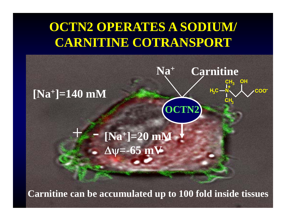### **OCTN2 OPERATES A SODIUM/ CARNITINE COTRANSPORT**

**+**

**OCTN2**

**Na Carnitine**

**CH**

**+**

<mark>3C一N</mark> 人 /COO

**OH**

**CH**

**3**

**3**

**N**

**H C**

**3**



### $+$   $[Na^+] = 20$  mM  $\Delta \psi = -65$  mV

**Carnitine can be accumulated up to 100 fold inside tissues**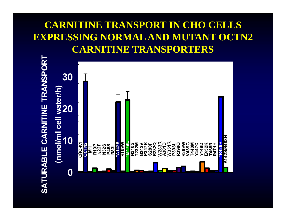#### **CARNITINE TRANSPORT IN CHO CELLS EXPRESSING NORMAL AND MUTANT OCTN2 CARNITINE TRANSPORTERS**

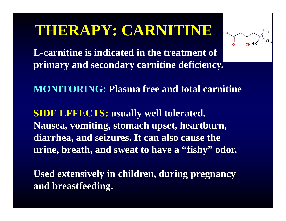### **THERAPY: CARNITINE**



**L-carnitine is indicated in the treatment of primary and secondary carnitine deficiency.** 

**MONITORING: Plasma free and total carnitine**

**SIDE EFFECTS: usually well tolerated. Nausea, vomiting, stomach upset, heartburn, diarrhea, and seizures. It can also cause the urine, breath, and sweat to have a "fishy" odor.**

**Used extensively in children, during pregnancy and breastfeeding.**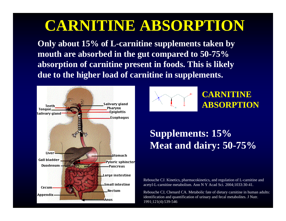### **CARNITINE ABSORPTION**

**Only about 15% of L-carnitine supplements taken by mouth are absorbed in the gut compared to 50-75% absorption of carnitine present in foods. This is likely due to the higher load of carnitine in supplements.**





#### **CARNITINEABSORPTION**

#### **Supplements: 15% Meat and dairy: 50-75%**

Rebouche CJ. Kinetics, pharmacokinetics, and regulation of L-carnitine and acetyl-L-carnitine metabolism. Ann N Y Acad Sci. 2004;1033:30-41.

Rebouche CJ, Chenard CA. Metabolic fate of dietary carnitine in human adults: identification and quantification of urinary and fecal metabolites. J Nutr. 1991;121(4):539-546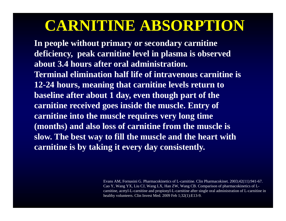### **CARNITINE ABSORPTION**

**In people without primary or secondary carnitine deficiency, peak carnitine level in plasma is observed about 3.4 hours after oral administration. Terminal elimination half life of intravenous carnitine is 12-24 hours, meaning that carnitine levels return to baseline after about 1 day, even though part of the carnitine received goes inside the muscle. Entry of carnitine into the muscle requires very long time (months) and also loss of carnitine from the muscle is slow. The best way to fill the muscle and the heart with carnitine is by taking it every day consistently.** 

> Evans AM, Fornasini G. Pharmacokinetics of L-carnitine. Clin Pharmacokinet. 2003;42(11):941-67. Cao Y, Wang YX, Liu CJ, Wang LX, Han ZW, Wang CB. Comparison of pharmacokinetics of Lcarnitine, acetyl-L-carnitine and propionyl-L-carnitine after single oral administration of L-carnitine in healthy volunteers. Clin Invest Med. 2009 Feb 1;32(1):E13-9.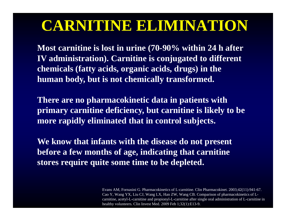### **CARNITINE ELIMINATION**

**Most carnitine is lost in urine (70-90% within 24 h after IV administration). Carnitine is conjugated to different chemicals (fatty acids, organic acids, drugs) in the human body, but is not chemically transformed.** 

**There are no pharmacokinetic data in patients with primary carnitine deficiency, but carnitine is likely to be more rapidly eliminated that in control subjects.** 

**We know that infants with the disease do not present before a few months of age, indicating that carnitine stores require quite some time to be depleted.** 

> Evans AM, Fornasini G. Pharmacokinetics of L-carnitine. Clin Pharmacokinet. 2003;42(11):941-67. Cao Y, Wang YX, Liu CJ, Wang LX, Han ZW, Wang CB. Comparison of pharmacokinetics of Lcarnitine, acetyl-L-carnitine and propionyl-L-carnitine after single oral administration of L-carnitine in healthy volunteers. Clin Invest Med. 2009 Feb 1;32(1):E13-9.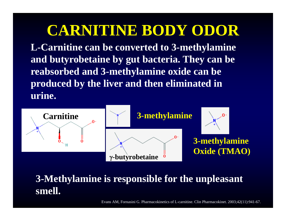### **CARNITINE BODY ODOR**

**L-Carnitine can be converted to 3-methylamine and butyrobetaine by gut bacteria. They can be reabsorbed and 3-methylamine oxide can be produced by the liver and then eliminated in urine.** 



#### **3-Methylamine is responsible for the unpleasant smell.**

Evans AM, Fornasini G. Pharmacokinetics of L-carnitine. Clin Pharmacokinet. 2003;42(11):941-67.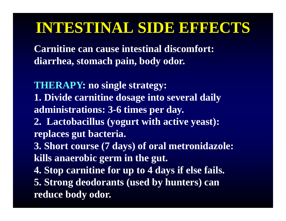### **INTESTINAL SIDE EFFECTS**

**Carnitine can cause intestinal discomfort: diarrhea, stomach pain, body odor.**

**THERAPY: no single strategy:**

**1. Divide carnitine dosage into several daily administrations: 3-6 times per day.**

**2. Lactobacillus (yogurt with active yeast): replaces gut bacteria.**

**3. Short course (7 days) of oral metronidazole: kills anaerobic germ in the gut.**

**4. Stop carnitine for up to 4 days if else fails.** 

**5. Strong deodorants (used by hunters) can reduce body odor.**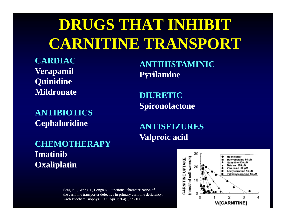# **DRUGS THAT INHIBIT CARNITINE TRANSPORT**

**CARDIACVerapamil Quinidine Mildronate**

**ANTIBIOTICS Cephaloridine**

**CHEMOTHERAPYImatinibOxaliplatin**

> Scaglia F, Wang Y, Longo N. Functional characterization of the carnitine transporter defective in primary carnitine deficiency. Arch Biochem Biophys. 1999 Apr 1;364(1):99-106.

**ANTIHISTAMINICPyrilamine**

**DIURETICSpironolactone**

**ANTISEIZURESValproic acid**

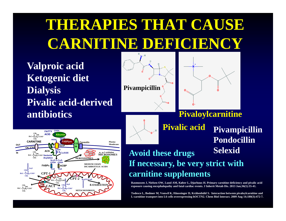# **THERAPIES THAT CAUSE CARNITINE DEFICIENCY**

**Valproic acid Ketogenic diet Dialysis Pivalic acid-derived antibiotics**







**Pivalic acid Avoid these drugs If necessary, be very strict with carnitine supplements Pivampicillin Pondocillin Selexid**

**Rasmussen J, Nielsen OW, Lund AM, Køber L, Djurhuus H. Primary carnitine deficiency and pivalic acid exposure causing encephalopathy and fatal cardiac events. J Inherit Metab Dis. 2013 Jan;36(1):35-41.** 

**Todesco L, Bodmer M, Vonwil K, Häussinger D, Krähenbühl S. Interaction between pivaloylcarnitine and L-carnitine transport into L6 cells overexpressing hOCTN2. Chem Biol Interact. 2009 Aug 14;180(3):472-7.**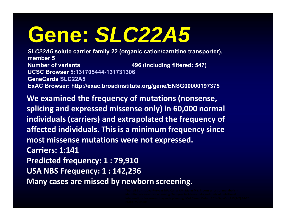# **Gene:** *SLC22A5*

*SLC22A5* **solute carrier family 22 (organic cation/carnitine transporter), member 5Number of variants 496 (Including filtered: 547) UCSC Browser 5:131705444-131731306GeneCards SLC22A5 ExAC Browser: http://exac.broadinstitute.org/gene/ENSG00000197375**

**We examined the frequency of mutations (nonsense, splicing and expressed missense only) in 60,000 normal individuals (carriers) and extrapolated the frequency of affected individuals. This is <sup>a</sup> minimum frequency since most missense mutations were not expressed. Carriers: 1:141Predicted frequency: 1 : 79,910 USA NBS Frequency: 1 : 142,236 Many cases are missed by newborn screening.**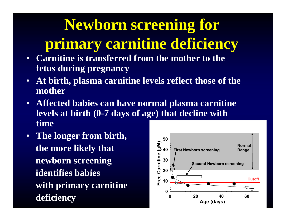# **Newborn screening for**

### **primary carnitine deficiency**

- **Carnitine is transferred from the mother to the fetus during pregnancy**
- $\bullet$  **At birth, plasma carnitine levels reflect those of the mother**
- **Affected babies can have normal plasma carnitine levels at birth (0-7 days of age) that decline with time**
- **The longer from birth, the more likely that newborn screening identifies babies with primary carnitine**

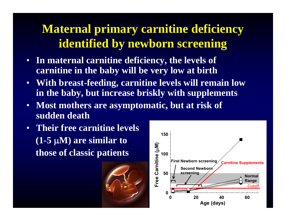### **Maternal primary carnitine deficiency identified by newborn screening**

- **In maternal carnitine deficiency, the levels of carnitine in the baby will be very low at birth**
- **With breast-feeding, carnitine levels will remain low in the baby, but increase briskly with supplements**
- **Most mothers are asymptomatic, but at risk of sudden death**
- **Their free carnitine levels (1-5 M) are similar to those of classic patients**



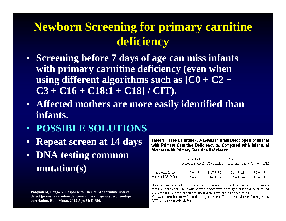### **Newborn Screening for primary carnitine deficiency**

- **Screening before 7 days of age can miss infants with primary carnitine deficiency (even when using different algorithms such as [C0 + C2 + C3 + C16 + C18:1 + C18] / CIT).**
- **Affected mothers are more easily identified than infants.**
- **POSSIBLE SOLUTIONS**
- •**Repeat screen at 14 days**
- **DNA testing common mutation(s)**

**Pasquali M, Longo N. Response to Chen et Al.: carnitine uptake defect (primary carnitine deficiency): risk in genotype-phenotype correlation. Hum Mutat. 2013 Apr;34(4):656.**

Table 1. Free Carnitine (CO) Levels in Dried Blood Spots of Infants with Primary Carnitine Deficiency as Compared with Infants of **Mothers with Primary Carnitine Deficiency** 

|                     | Age at first  |                 | Age at second<br>screening (days) C0 ( $\mu$ mol/L) screening (days) C0 ( $\mu$ mol/L) |                |
|---------------------|---------------|-----------------|----------------------------------------------------------------------------------------|----------------|
| Infant with CUD (4) | $1.5 \pm 0.6$ | $13.7 \pm 7.1$  | $14.0 \pm 1.8$                                                                         | $7.2 \pm 1.7$  |
| Maternal CUD (6).   | $1.8 \pm 0.4$ | $4.3 \pm 2.0^*$ | $13.2 \pm 1.2$                                                                         | $5.0 \pm 1.3*$ |

Note the lower levels of carnitine in the first screening in infants of mothers with primary carnitine deficiency. Three out of four infants with primary carnitine deficiency had levels of C0 above the laboratory cutoff at the time of the first screening.  ${}^{a}P$  < 0.05 versus in fants with carnitine uptake defect (first or second screen) using t-test. CUD, carnitine uptake defect.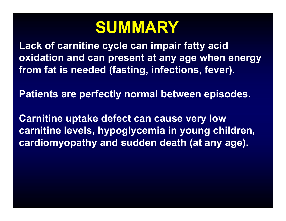# **SUMMARY**

**Lack of carnitine cycle can impair fatty acid oxidation and can present at any age when energy from fat is needed (fasting, infections, fever).** 

**Patients are perfectly normal between episodes.** 

**Carnitine uptake defect can cause very low carnitine levels, hypoglycemia in young children, cardiomyopathy and sudden death (at any age).**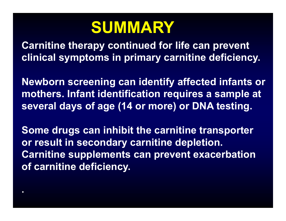# **SUMMARY**

**Carnitine therapy continued for life can prevent clinical symptoms in primary carnitine deficiency.**

**Newborn screening can identify affected infants or mothers. Infant identification requires a sample at several days of age (14 or more) or DNA testing.**

**Some drugs can inhibit the carnitine transporter or result in secondary carnitine depletion. Carnitine supplements can prevent exacerbation of carnitine deficiency.** 

**.**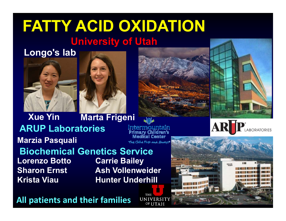### **FATTY ACID OXIDATION University of Utah**

#### **Longo's lab**





**Xue Yin Marta Frigeni ARUP LaboratoriesMarzia Pasquali** The Child First and Alway **Biochemical Genetics ServiceLorenzo Botto Carrie Bailey Sharon Ernst Ash Vollenweider Krista Viau Hunter Underhill**

**All patients and their families**

THE UNIVERSIT OF UTAH



ARI

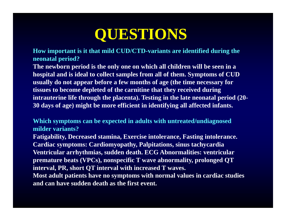**How important is it that mild CUD/CTD-variants are identified during the neonatal period?**

**The newborn period is the only one on which all children will be seen in a hospital and is ideal to collect samples from all of them. Symptoms of CUD usually do not appear before a few months of age (the time necessary for tissues to become depleted of the carnitine that they received during intrauterine life through the placenta). Testing in the late neonatal period (20- 30 days of age) might be more efficient in identifying all affected infants.** 

**Which symptoms can be expected in adults with untreated/undiagnosed milder variants?Fatigability, Decreased stamina, Exercise intolerance, Fasting intolerance. Cardiac symptoms: Cardiomyopathy, Palpitations, sinus tachycardia Ventricular arrhythmias, sudden death. ECG Abnormalities: ventricular premature beats (VPCs), nonspecific T wave abnormality, prolonged QT interval, PR, short QT interval with increased T waves. Most adult patients have no symptoms with normal values in cardiac studies and can have sudden death as the first event.**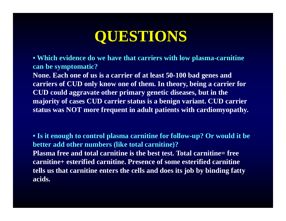**• Which evidence do we have that carriers with low plasma-carnitine can be symptomatic?**

**None. Each one of us is a carrier of at least 50-100 bad genes and carriers of CUD only know one of them. In theory, being a carrier for CUD could aggravate other primary genetic diseases, but in the majority of cases CUD carrier status is a benign variant. CUD carrier status was NOT more frequent in adult patients with cardiomyopathy.** 

**• Is it enough to control plasma carnitine for follow-up? Or would it be better add other numbers (like total carnitine)? Plasma free and total carnitine is the best test. Total carnitine= free carnitine+ esterified carnitine. Presence of some esterified carnitine tells us that carnitine enters the cells and does its job by binding fatty acids.**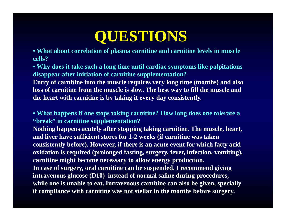**• What about correlation of plasma carnitine and carnitine levels in muscle cells?**

**• Why does it take such a long time until cardiac symptoms like palpitations disappear after initiation of carnitine supplementation?**

**Entry of carnitine into the muscle requires very long time (months) and also loss of carnitine from the muscle is slow. The best way to fill the muscle and the heart with carnitine is by taking it every day consistently.** 

**• What happens if one stops taking carnitine? How long does one tolerate a "break" in carnitine supplementation?**

**Nothing happens acutely after stopping taking carnitine. The muscle, heart, and liver have sufficient stores for 1-2 weeks (if carnitine was taken consistently before). However, if there is an acute event for which fatty acid oxidation is required (prolonged fasting, surgery, fever, infection, vomiting), carnitine might become necessary to allow energy production. In case of surgery, oral carnitine can be suspended. I recommend giving intravenous glucose (D10) instead of normal saline during procedures, while one is unable to eat. Intravenous carnitine can also be given, specially if compliance with carnitine was not stellar in the months before surgery.**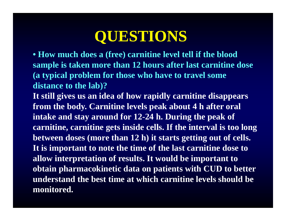**• How much does a (free) carnitine level tell if the blood sample is taken more than 12 hours after last carnitine dose (a typical problem for those who have to travel some distance to the lab)?**

**It still gives us an idea of how rapidly carnitine disappears from the body. Carnitine levels peak about 4 h after oral intake and stay around for 12-24 h. During the peak of carnitine, carnitine gets inside cells. If the interval is too long between doses (more than 12 h) it starts getting out of cells. It is important to note the time of the last carnitine dose to allow interpretation of results. It would be important to obtain pharmacokinetic data on patients with CUD to better understand the best time at which carnitine levels should be monitored.**